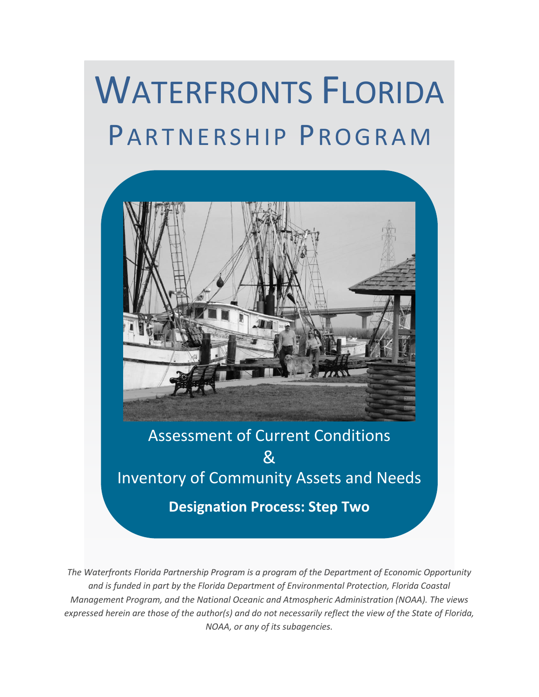# WATERFRONTS FLORIDA PARTNERSHIP PROGRAM



**Designation Process: Step Two**

*The Waterfronts Florida Partnership Program is a program of the Department of Economic Opportunity and is funded in part by the Florida Department of Environmental Protection, Florida Coastal Management Program, and the National Oceanic and Atmospheric Administration (NOAA). The views expressed herein are those of the author(s) and do not necessarily reflect the view of the State of Florida, NOAA, or any of its subagencies.*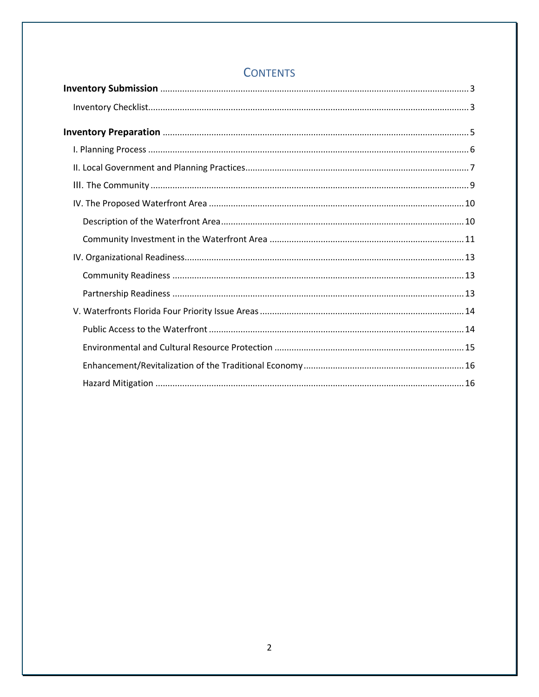# **CONTENTS**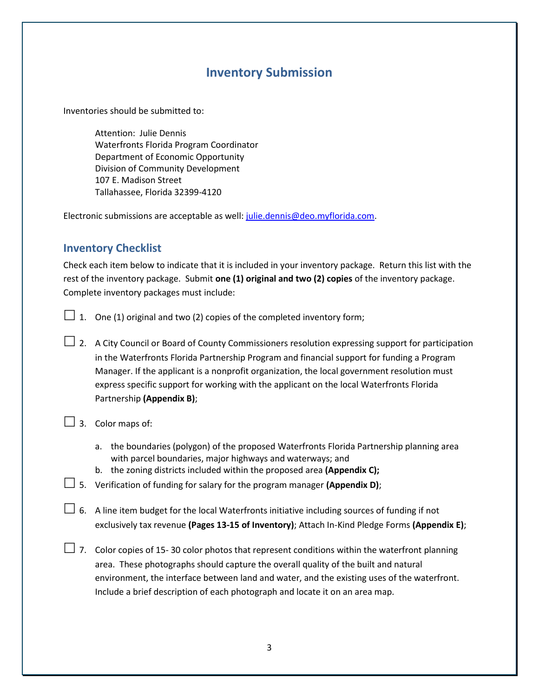## **Inventory Submission**

<span id="page-2-0"></span>Inventories should be submitted to:

Attention: Julie Dennis Waterfronts Florida Program Coordinator Department of Economic Opportunity Division of Community Development 107 E. Madison Street Tallahassee, Florida 32399-4120

Electronic submissions are acceptable as well: [julie.dennis@deo.myflorida.com.](mailto:julie.dennis@deo.myflorida.com)

## <span id="page-2-1"></span>**Inventory Checklist**

Check each item below to indicate that it is included in your inventory package. Return this list with the rest of the inventory package. Submit **one (1) original and two (2) copies** of the inventory package. Complete inventory packages must include:

- $\Box$  1. One (1) original and two (2) copies of the completed inventory form;
- $\Box$  2. A City Council or Board of County Commissioners resolution expressing support for participation in the Waterfronts Florida Partnership Program and financial support for funding a Program Manager. If the applicant is a nonprofit organization, the local government resolution must express specific support for working with the applicant on the local Waterfronts Florida Partnership **(Appendix B)**;
- $\Box$  3. Color maps of:
	- a. the boundaries (polygon) of the proposed Waterfronts Florida Partnership planning area with parcel boundaries, major highways and waterways; and
	- b. the zoning districts included within the proposed area **(Appendix C);**
- 5. Verification of funding for salary for the program manager **(Appendix D)**;
- $\Box$  6. A line item budget for the local Waterfronts initiative including sources of funding if not exclusively tax revenue **(Pages 13-15 of Inventory)**; Attach In-Kind Pledge Forms **(Appendix E)**;
- $\Box$  7. Color copies of 15-30 color photos that represent conditions within the waterfront planning area. These photographs should capture the overall quality of the built and natural environment, the interface between land and water, and the existing uses of the waterfront. Include a brief description of each photograph and locate it on an area map.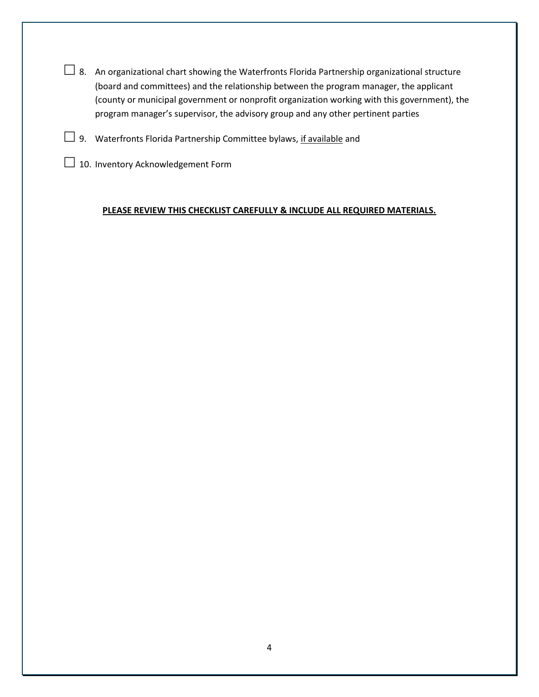- $\Box$  8. An organizational chart showing the Waterfronts Florida Partnership organizational structure (board and committees) and the relationship between the program manager, the applicant (county or municipal government or nonprofit organization working with this government), the program manager's supervisor, the advisory group and any other pertinent parties
- $\Box$  9. Waterfronts Florida Partnership Committee bylaws, if available and
- $\Box$  10. Inventory Acknowledgement Form

#### **PLEASE REVIEW THIS CHECKLIST CAREFULLY & INCLUDE ALL REQUIRED MATERIALS.**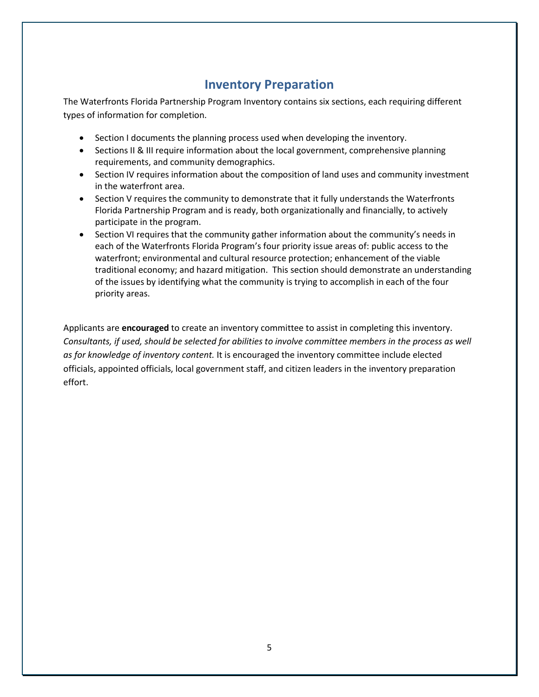# **Inventory Preparation**

<span id="page-4-0"></span>The Waterfronts Florida Partnership Program Inventory contains six sections, each requiring different types of information for completion.

- Section I documents the planning process used when developing the inventory.
- Sections II & III require information about the local government, comprehensive planning requirements, and community demographics.
- Section IV requires information about the composition of land uses and community investment in the waterfront area.
- Section V requires the community to demonstrate that it fully understands the Waterfronts Florida Partnership Program and is ready, both organizationally and financially, to actively participate in the program.
- Section VI requires that the community gather information about the community's needs in each of the Waterfronts Florida Program's four priority issue areas of: public access to the waterfront; environmental and cultural resource protection; enhancement of the viable traditional economy; and hazard mitigation. This section should demonstrate an understanding of the issues by identifying what the community is trying to accomplish in each of the four priority areas.

Applicants are **encouraged** to create an inventory committee to assist in completing this inventory. *Consultants, if used, should be selected for abilities to involve committee members in the process as well as for knowledge of inventory content.* It is encouraged the inventory committee include elected officials, appointed officials, local government staff, and citizen leaders in the inventory preparation effort.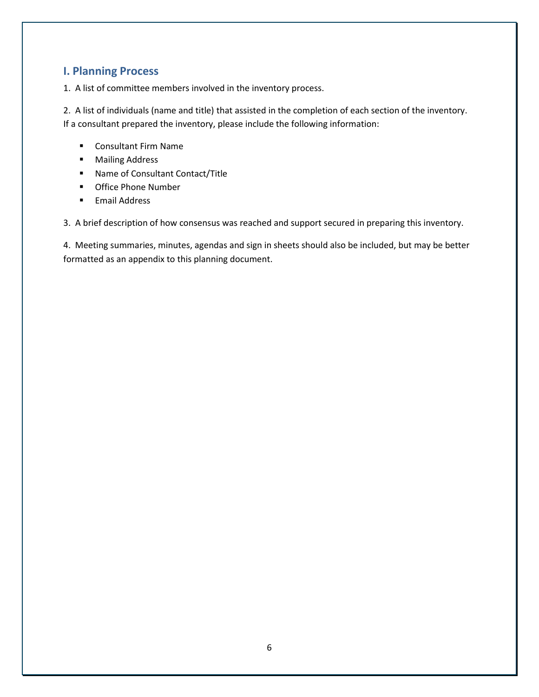## <span id="page-5-0"></span>**I. Planning Process**

1. A list of committee members involved in the inventory process.

2. A list of individuals (name and title) that assisted in the completion of each section of the inventory. If a consultant prepared the inventory, please include the following information:

- **Consultant Firm Name**
- **■** Mailing Address
- Name of Consultant Contact/Title
- **•** Office Phone Number
- **Email Address**

3. A brief description of how consensus was reached and support secured in preparing this inventory.

4. Meeting summaries, minutes, agendas and sign in sheets should also be included, but may be better formatted as an appendix to this planning document.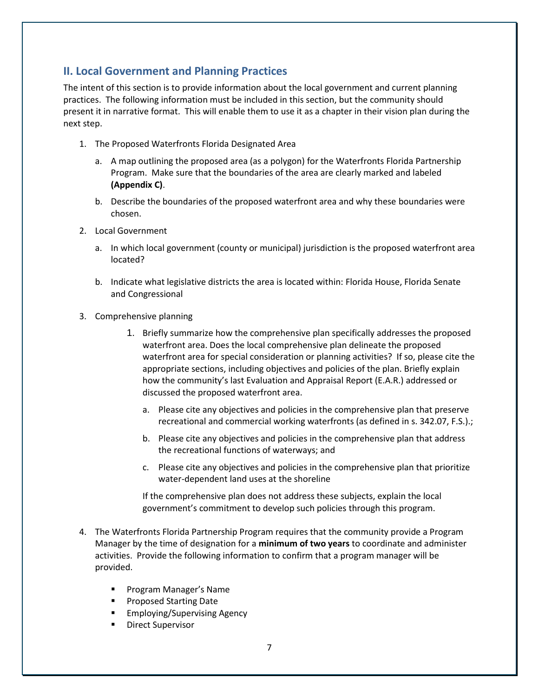## <span id="page-6-0"></span>**II. Local Government and Planning Practices**

The intent of this section is to provide information about the local government and current planning practices. The following information must be included in this section, but the community should present it in narrative format. This will enable them to use it as a chapter in their vision plan during the next step.

- 1. The Proposed Waterfronts Florida Designated Area
	- a. A map outlining the proposed area (as a polygon) for the Waterfronts Florida Partnership Program. Make sure that the boundaries of the area are clearly marked and labeled **(Appendix C)**.
	- b. Describe the boundaries of the proposed waterfront area and why these boundaries were chosen.
- 2. Local Government
	- a. In which local government (county or municipal) jurisdiction is the proposed waterfront area located?
	- b. Indicate what legislative districts the area is located within: Florida House, Florida Senate and Congressional
- 3. Comprehensive planning
	- 1. Briefly summarize how the comprehensive plan specifically addresses the proposed waterfront area. Does the local comprehensive plan delineate the proposed waterfront area for special consideration or planning activities? If so, please cite the appropriate sections, including objectives and policies of the plan. Briefly explain how the community's last Evaluation and Appraisal Report (E.A.R.) addressed or discussed the proposed waterfront area.
		- a. Please cite any objectives and policies in the comprehensive plan that preserve recreational and commercial working waterfronts (as defined in s. 342.07, F.S.).;
		- b. Please cite any objectives and policies in the comprehensive plan that address the recreational functions of waterways; and
		- c. Please cite any objectives and policies in the comprehensive plan that prioritize water-dependent land uses at the shoreline

If the comprehensive plan does not address these subjects, explain the local government's commitment to develop such policies through this program.

- 4. The Waterfronts Florida Partnership Program requires that the community provide a Program Manager by the time of designation for a **minimum of two years** to coordinate and administer activities. Provide the following information to confirm that a program manager will be provided.
	- **Program Manager's Name**
	- **Proposed Starting Date**
	- **Employing/Supervising Agency**
	- Direct Supervisor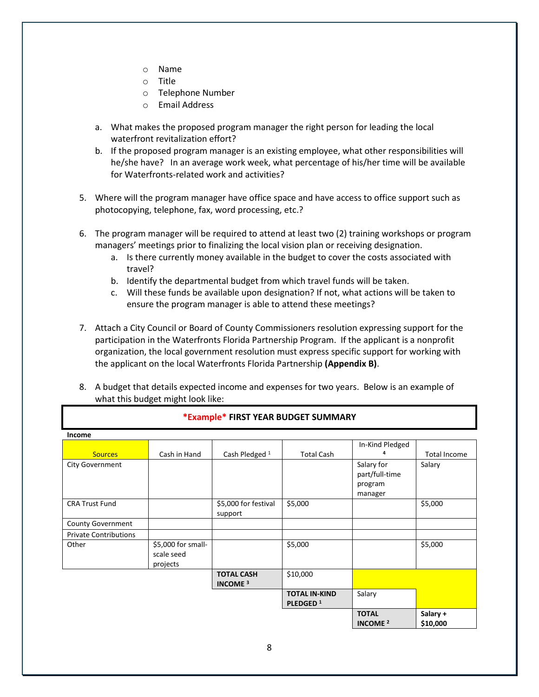- o Name
- o Title
- o Telephone Number
- o Email Address
- a. What makes the proposed program manager the right person for leading the local waterfront revitalization effort?
- b. If the proposed program manager is an existing employee, what other responsibilities will he/she have? In an average work week, what percentage of his/her time will be available for Waterfronts-related work and activities?
- 5. Where will the program manager have office space and have access to office support such as photocopying, telephone, fax, word processing, etc.?
- 6. The program manager will be required to attend at least two (2) training workshops or program managers' meetings prior to finalizing the local vision plan or receiving designation.
	- a. Is there currently money available in the budget to cover the costs associated with travel?
	- b. Identify the departmental budget from which travel funds will be taken.
	- c. Will these funds be available upon designation? If not, what actions will be taken to ensure the program manager is able to attend these meetings?
- 7. Attach a City Council or Board of County Commissioners resolution expressing support for the participation in the Waterfronts Florida Partnership Program. If the applicant is a nonprofit organization, the local government resolution must express specific support for working with the applicant on the local Waterfronts Florida Partnership **(Appendix B)**.
- 8. A budget that details expected income and expenses for two years. Below is an example of what this budget might look like:

| Income                       |                                              |                                                |                                              |                                                    |                      |
|------------------------------|----------------------------------------------|------------------------------------------------|----------------------------------------------|----------------------------------------------------|----------------------|
|                              |                                              |                                                |                                              | In-Kind Pledged                                    |                      |
| <b>Sources</b>               | Cash in Hand                                 | Cash Pledged <sup>1</sup>                      | <b>Total Cash</b>                            | 4                                                  | <b>Total Income</b>  |
| <b>City Government</b>       |                                              |                                                |                                              | Salary for<br>part/full-time<br>program<br>manager | Salary               |
| <b>CRA Trust Fund</b>        |                                              | \$5,000 for festival                           | \$5,000                                      |                                                    | \$5,000              |
|                              |                                              | support                                        |                                              |                                                    |                      |
| <b>County Government</b>     |                                              |                                                |                                              |                                                    |                      |
| <b>Private Contributions</b> |                                              |                                                |                                              |                                                    |                      |
| Other                        | \$5,000 for small-<br>scale seed<br>projects |                                                | \$5,000                                      |                                                    | \$5,000              |
|                              |                                              | <b>TOTAL CASH</b><br><b>INCOME<sup>3</sup></b> | \$10,000                                     |                                                    |                      |
|                              |                                              |                                                | <b>TOTAL IN-KIND</b><br>PLEDGED <sup>1</sup> | Salary                                             |                      |
|                              |                                              |                                                |                                              | <b>TOTAL</b><br><b>INCOME<sup>2</sup></b>          | Salary +<br>\$10,000 |

#### **\*Example\* FIRST YEAR BUDGET SUMMARY**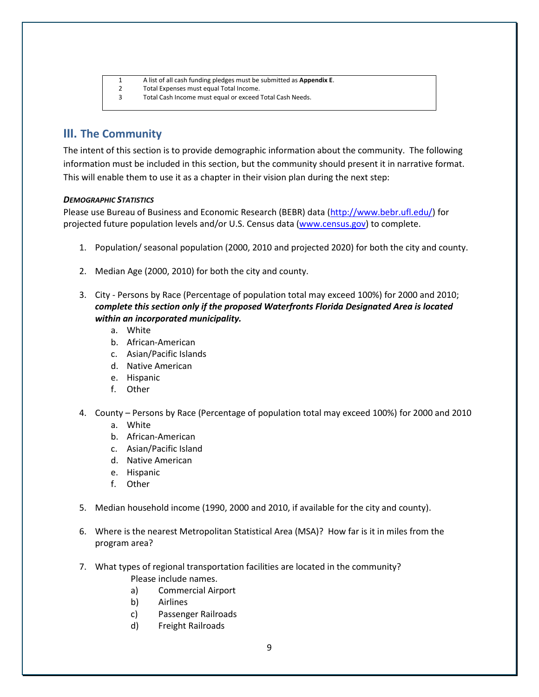|   | A list of all cash funding pledges must be submitted as <b>Appendix E.</b> |
|---|----------------------------------------------------------------------------|
| 2 | Total Expenses must equal Total Income.                                    |
| 3 | Total Cash Income must equal or exceed Total Cash Needs.                   |
|   |                                                                            |

## <span id="page-8-0"></span>**III. The Community**

The intent of this section is to provide demographic information about the community. The following information must be included in this section, but the community should present it in narrative format. This will enable them to use it as a chapter in their vision plan during the next step:

#### *DEMOGRAPHIC STATISTICS*

Please use Bureau of Business and Economic Research (BEBR) data [\(http://www.bebr.ufl.edu/\)](http://www.bebr.ufl.edu/) for projected future population levels and/or U.S. Census data [\(www.census.gov\)](http://www.census.gov/) to complete.

- 1. Population/ seasonal population (2000, 2010 and projected 2020) for both the city and county.
- 2. Median Age (2000, 2010) for both the city and county.
- 3. City Persons by Race (Percentage of population total may exceed 100%) for 2000 and 2010; *complete this section only if the proposed Waterfronts Florida Designated Area is located within an incorporated municipality.*
	- a. White
	- b. African-American
	- c. Asian/Pacific Islands
	- d. Native American
	- e. Hispanic
	- f. Other
- 4. County Persons by Race (Percentage of population total may exceed 100%) for 2000 and 2010
	- a. White
	- b. African-American
	- c. Asian/Pacific Island
	- d. Native American
	- e. Hispanic
	- f. Other
- 5. Median household income (1990, 2000 and 2010, if available for the city and county).
- 6. Where is the nearest Metropolitan Statistical Area (MSA)? How far is it in miles from the program area?
- 7. What types of regional transportation facilities are located in the community? Please include names.
	- a) Commercial Airport
	- b) Airlines
	- c) Passenger Railroads
	- d) Freight Railroads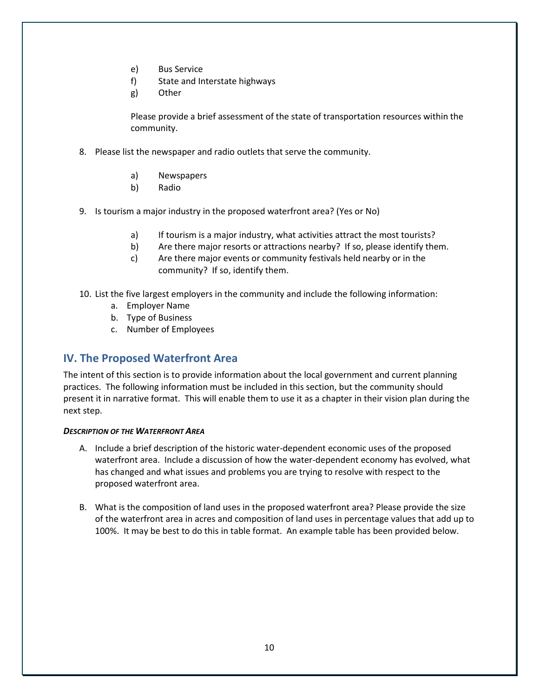- e) Bus Service
- f) State and Interstate highways
- g) Other

Please provide a brief assessment of the state of transportation resources within the community.

- 8. Please list the newspaper and radio outlets that serve the community.
	- a) Newspapers
	- b) Radio
- 9. Is tourism a major industry in the proposed waterfront area? (Yes or No)
	- a) If tourism is a major industry, what activities attract the most tourists?
	- b) Are there major resorts or attractions nearby? If so, please identify them.
	- c) Are there major events or community festivals held nearby or in the community? If so, identify them.
- 10. List the five largest employers in the community and include the following information:
	- a. Employer Name
	- b. Type of Business
	- c. Number of Employees

## <span id="page-9-0"></span>**IV. The Proposed Waterfront Area**

The intent of this section is to provide information about the local government and current planning practices. The following information must be included in this section, but the community should present it in narrative format. This will enable them to use it as a chapter in their vision plan during the next step.

#### <span id="page-9-1"></span>*DESCRIPTION OF THE WATERFRONT AREA*

- A. Include a brief description of the historic water-dependent economic uses of the proposed waterfront area. Include a discussion of how the water-dependent economy has evolved, what has changed and what issues and problems you are trying to resolve with respect to the proposed waterfront area.
- B. What is the composition of land uses in the proposed waterfront area? Please provide the size of the waterfront area in acres and composition of land uses in percentage values that add up to 100%. It may be best to do this in table format. An example table has been provided below.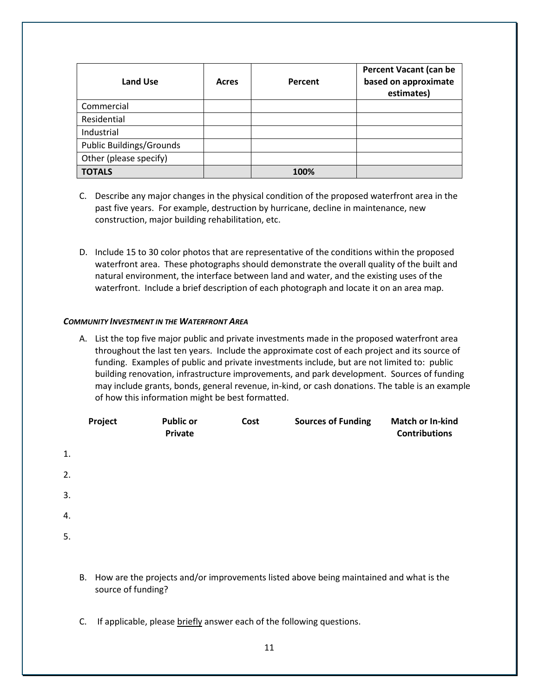| <b>Land Use</b>                 | Acres | Percent | <b>Percent Vacant (can be</b><br>based on approximate<br>estimates) |
|---------------------------------|-------|---------|---------------------------------------------------------------------|
| Commercial                      |       |         |                                                                     |
| Residential                     |       |         |                                                                     |
| Industrial                      |       |         |                                                                     |
| <b>Public Buildings/Grounds</b> |       |         |                                                                     |
| Other (please specify)          |       |         |                                                                     |
| <b>TOTALS</b>                   |       | 100%    |                                                                     |

- C. Describe any major changes in the physical condition of the proposed waterfront area in the past five years. For example, destruction by hurricane, decline in maintenance, new construction, major building rehabilitation, etc.
- D. Include 15 to 30 color photos that are representative of the conditions within the proposed waterfront area. These photographs should demonstrate the overall quality of the built and natural environment, the interface between land and water, and the existing uses of the waterfront. Include a brief description of each photograph and locate it on an area map.

#### <span id="page-10-0"></span>*COMMUNITY INVESTMENT IN THE WATERFRONT AREA*

A. List the top five major public and private investments made in the proposed waterfront area throughout the last ten years. Include the approximate cost of each project and its source of funding. Examples of public and private investments include, but are not limited to: public building renovation, infrastructure improvements, and park development. Sources of funding may include grants, bonds, general revenue, in-kind, or cash donations. The table is an example of how this information might be best formatted.

|    | Project | <b>Public or</b><br>Private | Cost | <b>Sources of Funding</b> | <b>Match or In-kind</b><br><b>Contributions</b> |
|----|---------|-----------------------------|------|---------------------------|-------------------------------------------------|
| 1. |         |                             |      |                           |                                                 |
| 2. |         |                             |      |                           |                                                 |
| 3. |         |                             |      |                           |                                                 |
| 4. |         |                             |      |                           |                                                 |
| 5. |         |                             |      |                           |                                                 |
|    |         |                             |      |                           |                                                 |

- B. How are the projects and/or improvements listed above being maintained and what is the source of funding?
- C. If applicable, please briefly answer each of the following questions.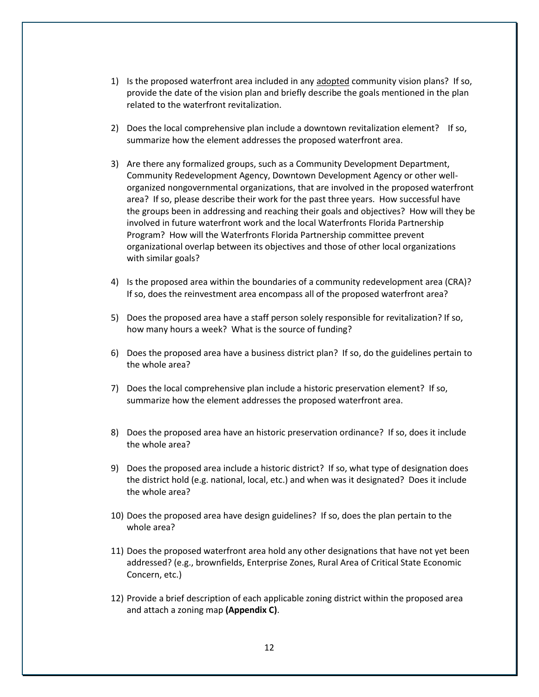- 1) Is the proposed waterfront area included in any adopted community vision plans? If so, provide the date of the vision plan and briefly describe the goals mentioned in the plan related to the waterfront revitalization.
- 2) Does the local comprehensive plan include a downtown revitalization element? If so, summarize how the element addresses the proposed waterfront area.
- 3) Are there any formalized groups, such as a Community Development Department, Community Redevelopment Agency, Downtown Development Agency or other wellorganized nongovernmental organizations, that are involved in the proposed waterfront area? If so, please describe their work for the past three years. How successful have the groups been in addressing and reaching their goals and objectives? How will they be involved in future waterfront work and the local Waterfronts Florida Partnership Program? How will the Waterfronts Florida Partnership committee prevent organizational overlap between its objectives and those of other local organizations with similar goals?
- 4) Is the proposed area within the boundaries of a community redevelopment area (CRA)? If so, does the reinvestment area encompass all of the proposed waterfront area?
- 5) Does the proposed area have a staff person solely responsible for revitalization? If so, how many hours a week? What is the source of funding?
- 6) Does the proposed area have a business district plan? If so, do the guidelines pertain to the whole area?
- 7) Does the local comprehensive plan include a historic preservation element? If so, summarize how the element addresses the proposed waterfront area.
- 8) Does the proposed area have an historic preservation ordinance? If so, does it include the whole area?
- 9) Does the proposed area include a historic district? If so, what type of designation does the district hold (e.g. national, local, etc.) and when was it designated? Does it include the whole area?
- 10) Does the proposed area have design guidelines? If so, does the plan pertain to the whole area?
- 11) Does the proposed waterfront area hold any other designations that have not yet been addressed? (e.g., brownfields, Enterprise Zones, Rural Area of Critical State Economic Concern, etc.)
- 12) Provide a brief description of each applicable zoning district within the proposed area and attach a zoning map **(Appendix C)**.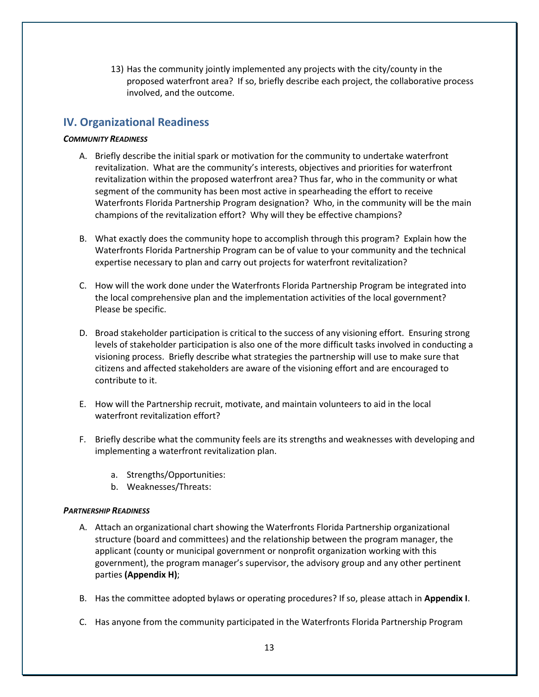13) Has the community jointly implemented any projects with the city/county in the proposed waterfront area? If so, briefly describe each project, the collaborative process involved, and the outcome.

## <span id="page-12-0"></span>**IV. Organizational Readiness**

#### <span id="page-12-1"></span>*COMMUNITY READINESS*

- A. Briefly describe the initial spark or motivation for the community to undertake waterfront revitalization. What are the community's interests, objectives and priorities for waterfront revitalization within the proposed waterfront area? Thus far, who in the community or what segment of the community has been most active in spearheading the effort to receive Waterfronts Florida Partnership Program designation? Who, in the community will be the main champions of the revitalization effort? Why will they be effective champions?
- B. What exactly does the community hope to accomplish through this program? Explain how the Waterfronts Florida Partnership Program can be of value to your community and the technical expertise necessary to plan and carry out projects for waterfront revitalization?
- C. How will the work done under the Waterfronts Florida Partnership Program be integrated into the local comprehensive plan and the implementation activities of the local government? Please be specific.
- D. Broad stakeholder participation is critical to the success of any visioning effort. Ensuring strong levels of stakeholder participation is also one of the more difficult tasks involved in conducting a visioning process. Briefly describe what strategies the partnership will use to make sure that citizens and affected stakeholders are aware of the visioning effort and are encouraged to contribute to it.
- E. How will the Partnership recruit, motivate, and maintain volunteers to aid in the local waterfront revitalization effort?
- F. Briefly describe what the community feels are its strengths and weaknesses with developing and implementing a waterfront revitalization plan.
	- a. Strengths/Opportunities:
	- b. Weaknesses/Threats:

#### <span id="page-12-2"></span>*PARTNERSHIP READINESS*

- A. Attach an organizational chart showing the Waterfronts Florida Partnership organizational structure (board and committees) and the relationship between the program manager, the applicant (county or municipal government or nonprofit organization working with this government), the program manager's supervisor, the advisory group and any other pertinent parties **(Appendix H)**;
- B. Has the committee adopted bylaws or operating procedures? If so, please attach in **Appendix I**.
- C. Has anyone from the community participated in the Waterfronts Florida Partnership Program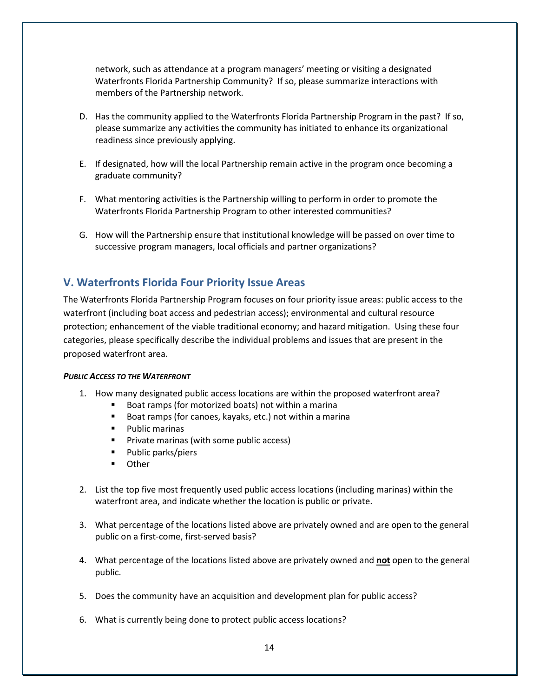network, such as attendance at a program managers' meeting or visiting a designated Waterfronts Florida Partnership Community? If so, please summarize interactions with members of the Partnership network.

- D. Has the community applied to the Waterfronts Florida Partnership Program in the past? If so, please summarize any activities the community has initiated to enhance its organizational readiness since previously applying.
- E. If designated, how will the local Partnership remain active in the program once becoming a graduate community?
- F. What mentoring activities is the Partnership willing to perform in order to promote the Waterfronts Florida Partnership Program to other interested communities?
- G. How will the Partnership ensure that institutional knowledge will be passed on over time to successive program managers, local officials and partner organizations?

### <span id="page-13-0"></span>**V. Waterfronts Florida Four Priority Issue Areas**

The Waterfronts Florida Partnership Program focuses on four priority issue areas: public access to the waterfront (including boat access and pedestrian access); environmental and cultural resource protection; enhancement of the viable traditional economy; and hazard mitigation. Using these four categories, please specifically describe the individual problems and issues that are present in the proposed waterfront area.

#### <span id="page-13-1"></span>*PUBLIC ACCESS TO THE WATERFRONT*

- 1. How many designated public access locations are within the proposed waterfront area?
	- Boat ramps (for motorized boats) not within a marina
	- Boat ramps (for canoes, kayaks, etc.) not within a marina
	- **Public marinas**
	- **Private marinas (with some public access)**
	- Public parks/piers
	- **•** Other
- 2. List the top five most frequently used public access locations (including marinas) within the waterfront area, and indicate whether the location is public or private.
- 3. What percentage of the locations listed above are privately owned and are open to the general public on a first-come, first-served basis?
- 4. What percentage of the locations listed above are privately owned and **not** open to the general public.
- 5. Does the community have an acquisition and development plan for public access?
- 6. What is currently being done to protect public access locations?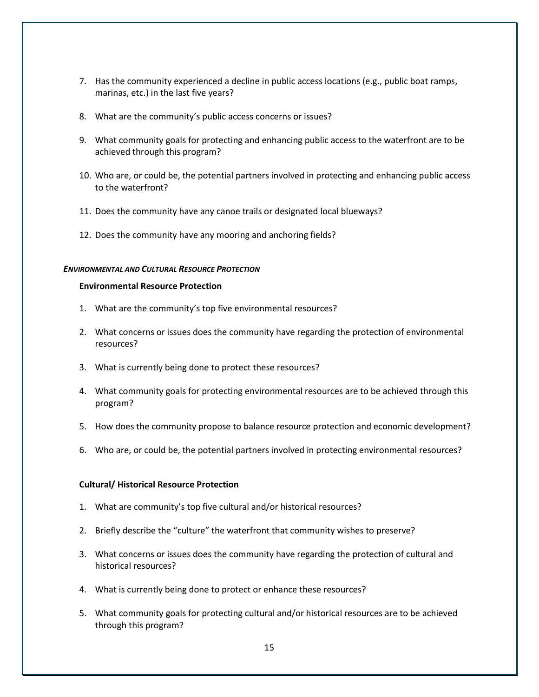- 7. Has the community experienced a decline in public access locations (e.g., public boat ramps, marinas, etc.) in the last five years?
- 8. What are the community's public access concerns or issues?
- 9. What community goals for protecting and enhancing public access to the waterfront are to be achieved through this program?
- 10. Who are, or could be, the potential partners involved in protecting and enhancing public access to the waterfront?
- 11. Does the community have any canoe trails or designated local blueways?
- 12. Does the community have any mooring and anchoring fields?

#### <span id="page-14-0"></span>*ENVIRONMENTAL AND CULTURAL RESOURCE PROTECTION*

#### **Environmental Resource Protection**

- 1. What are the community's top five environmental resources?
- 2. What concerns or issues does the community have regarding the protection of environmental resources?
- 3. What is currently being done to protect these resources?
- 4. What community goals for protecting environmental resources are to be achieved through this program?
- 5. How does the community propose to balance resource protection and economic development?
- 6. Who are, or could be, the potential partners involved in protecting environmental resources?

#### **Cultural/ Historical Resource Protection**

- 1. What are community's top five cultural and/or historical resources?
- 2. Briefly describe the "culture" the waterfront that community wishes to preserve?
- 3. What concerns or issues does the community have regarding the protection of cultural and historical resources?
- 4. What is currently being done to protect or enhance these resources?
- 5. What community goals for protecting cultural and/or historical resources are to be achieved through this program?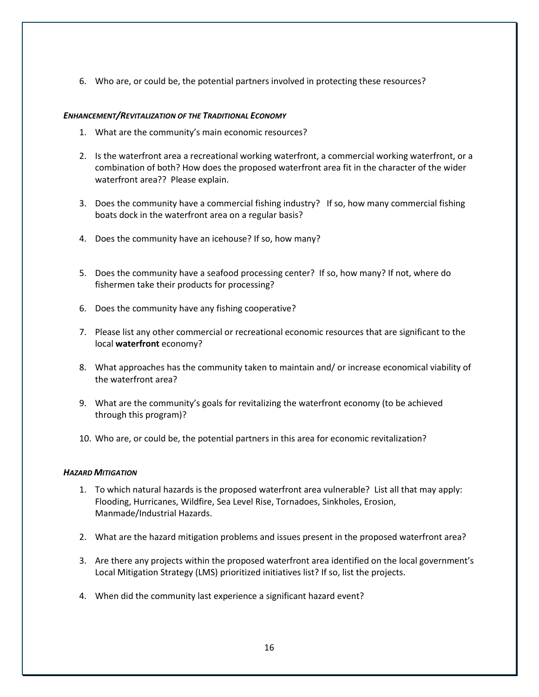6. Who are, or could be, the potential partners involved in protecting these resources?

#### <span id="page-15-0"></span>*ENHANCEMENT/REVITALIZATION OF THE TRADITIONAL ECONOMY*

- 1. What are the community's main economic resources?
- 2. Is the waterfront area a recreational working waterfront, a commercial working waterfront, or a combination of both? How does the proposed waterfront area fit in the character of the wider waterfront area?? Please explain.
- 3. Does the community have a commercial fishing industry? If so, how many commercial fishing boats dock in the waterfront area on a regular basis?
- 4. Does the community have an icehouse? If so, how many?
- 5. Does the community have a seafood processing center? If so, how many? If not, where do fishermen take their products for processing?
- 6. Does the community have any fishing cooperative?
- 7. Please list any other commercial or recreational economic resources that are significant to the local **waterfront** economy?
- 8. What approaches has the community taken to maintain and/ or increase economical viability of the waterfront area?
- 9. What are the community's goals for revitalizing the waterfront economy (to be achieved through this program)?
- 10. Who are, or could be, the potential partners in this area for economic revitalization?

#### <span id="page-15-1"></span>*HAZARD MITIGATION*

- 1. To which natural hazards is the proposed waterfront area vulnerable? List all that may apply: Flooding, Hurricanes, Wildfire, Sea Level Rise, Tornadoes, Sinkholes, Erosion, Manmade/Industrial Hazards.
- 2. What are the hazard mitigation problems and issues present in the proposed waterfront area?
- 3. Are there any projects within the proposed waterfront area identified on the local government's Local Mitigation Strategy (LMS) prioritized initiatives list? If so, list the projects.
- 4. When did the community last experience a significant hazard event?